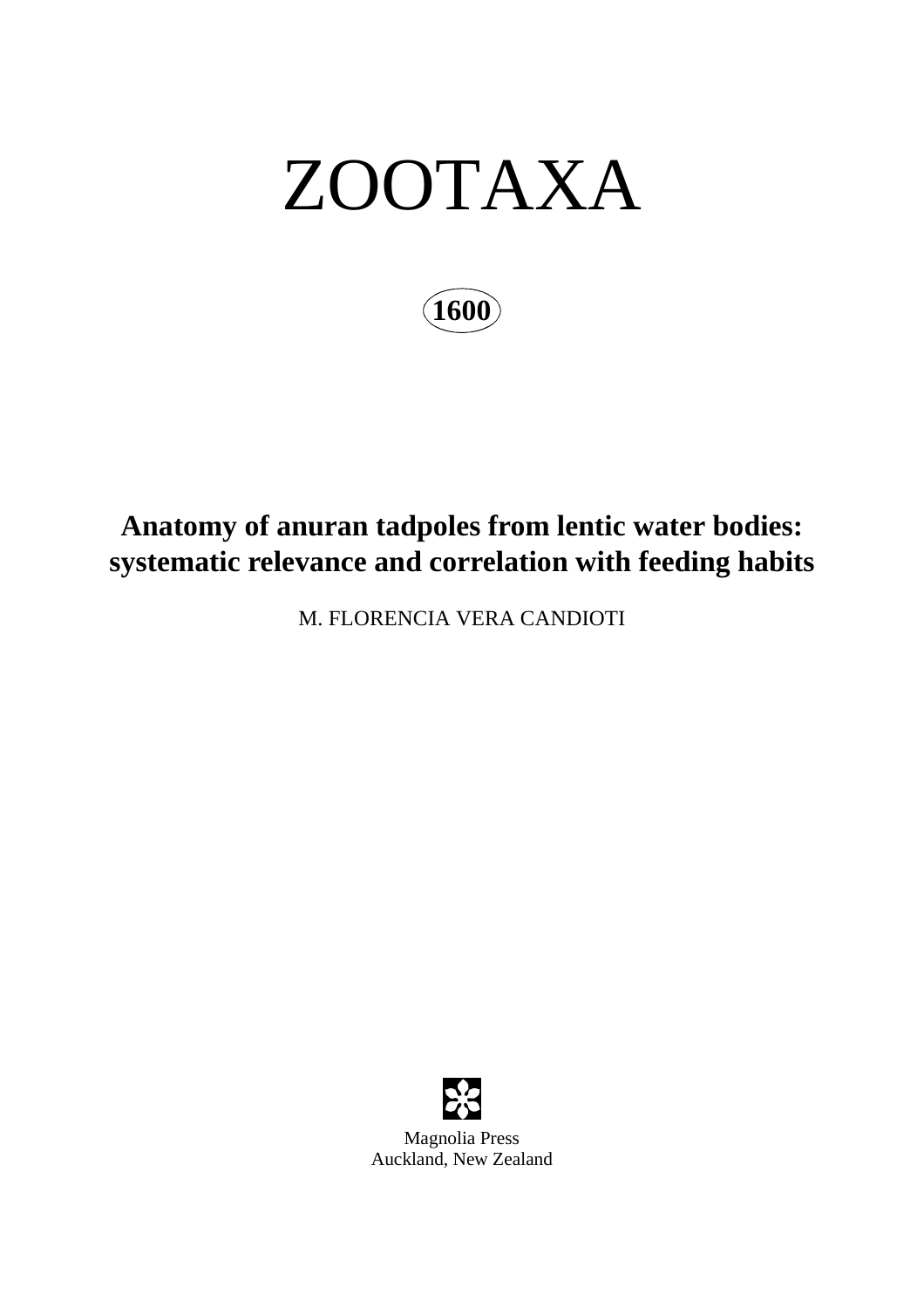# ZOOTAXA

**1600**

# **Anatomy of anuran tadpoles from lentic water bodies: systematic relevance and correlation with feeding habits**

M. FLORENCIA VERA CANDIOTI



Magnolia Press Auckland, New Zealand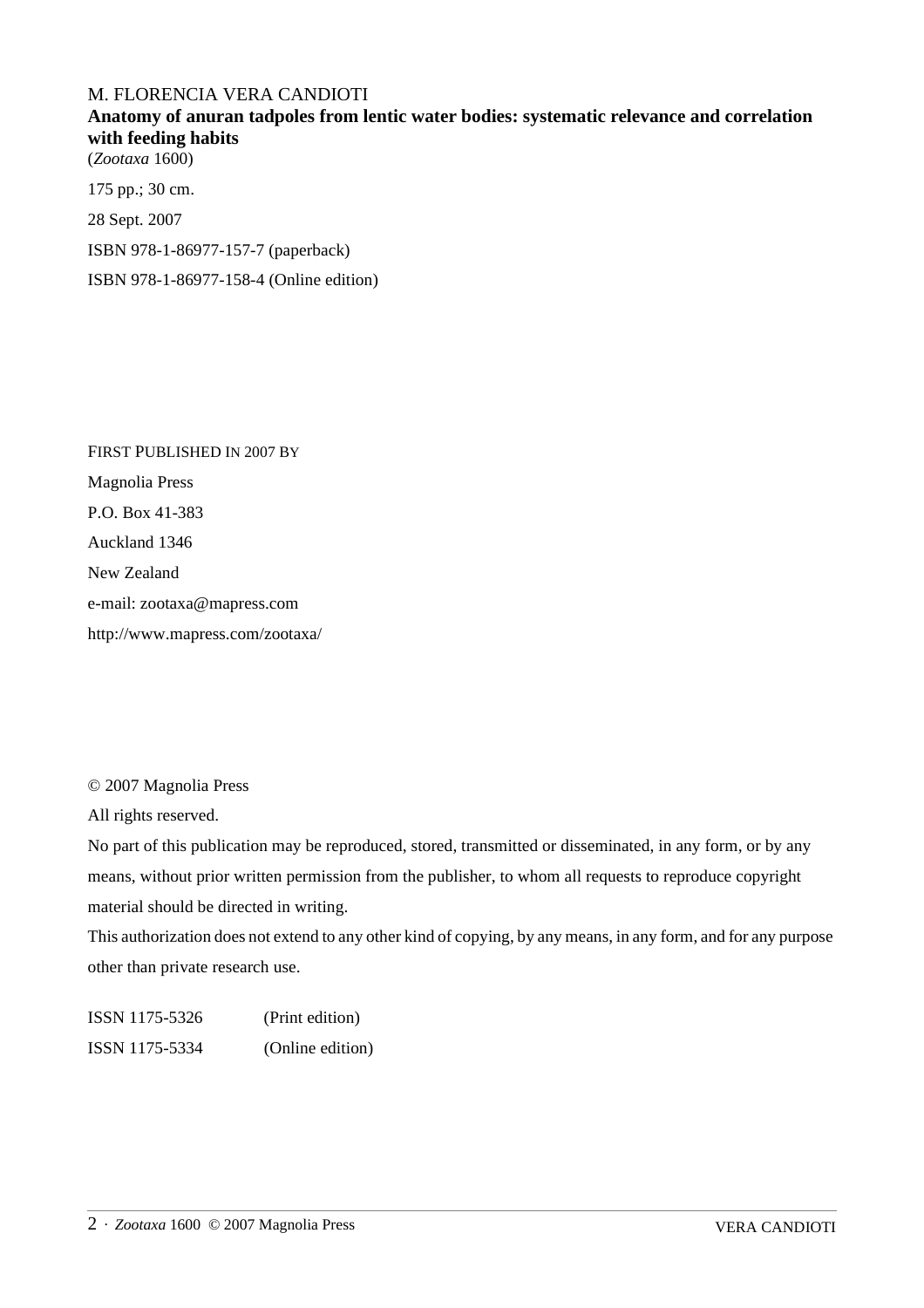#### M. FLORENCIA VERA CANDIOTI

### **Anatomy of anuran tadpoles from lentic water bodies: systematic relevance and correlation with feeding habits**

(*Zootaxa* 1600)

175 pp.; 30 cm.

28 Sept. 2007

ISBN 978-1-86977-157-7 (paperback)

ISBN 978-1-86977-158-4 (Online edition)

FIRST PUBLISHED IN 2007 BY Magnolia Press P.O. Box 41-383 Auckland 1346 New Zealand e-mail: zootaxa@mapress.com http://www.mapress.com/zootaxa/

© 2007 Magnolia Press

All rights reserved.

No part of this publication may be reproduced, stored, transmitted or disseminated, in any form, or by any means, without prior written permission from the publisher, to whom all requests to reproduce copyright material should be directed in writing.

This authorization does not extend to any other kind of copying, by any means, in any form, and for any purpose other than private research use.

ISSN 1175-5326 (Print edition) ISSN 1175-5334 (Online edition)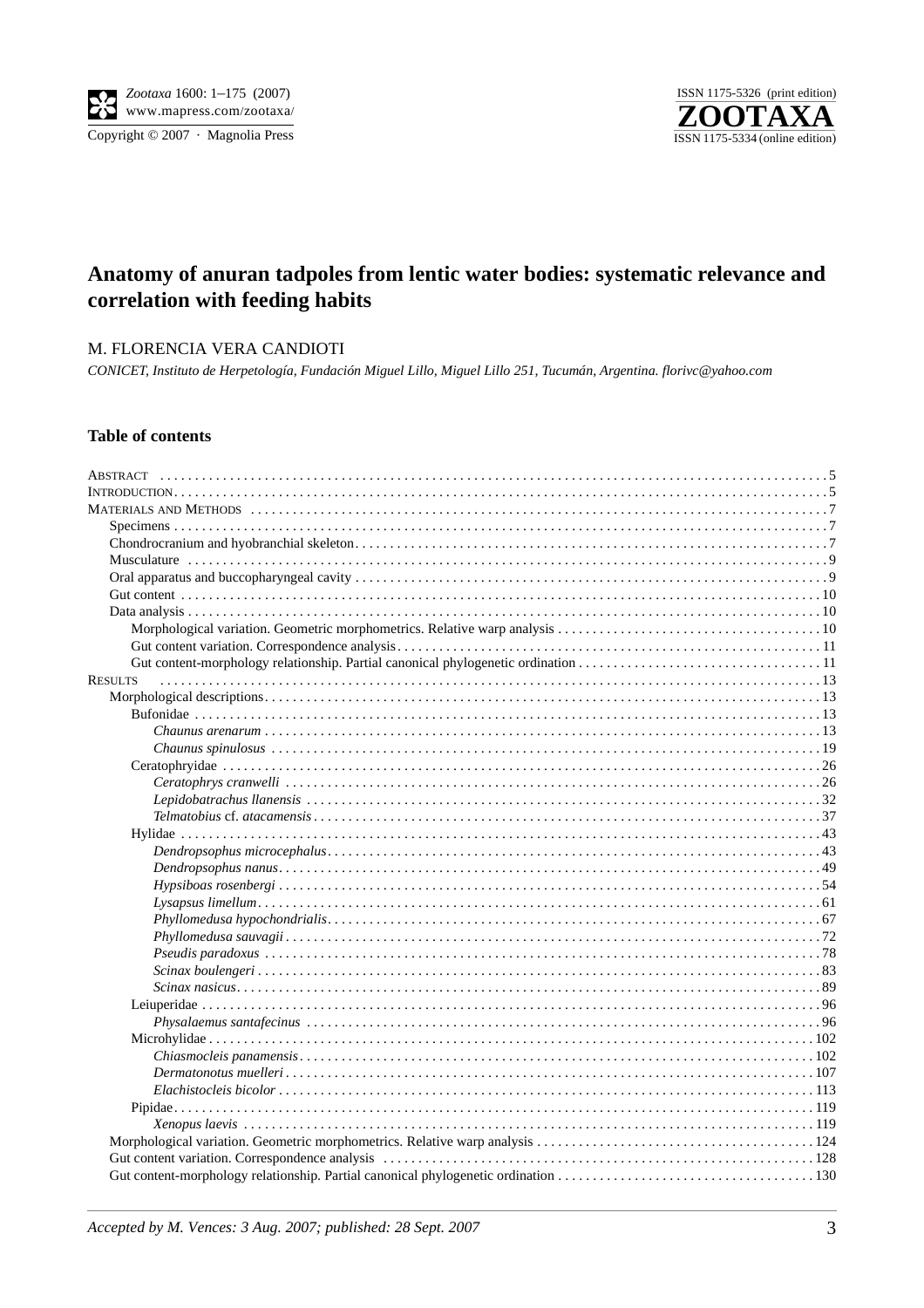Copyright © 2007 · Magnolia Press



## **Anatomy of anuran tadpoles from lentic water bodies: systematic relevance and correlation with feeding habits**

#### M. FLORENCIA VERA CANDIOTI

*CONICET, Instituto de Herpetología, Fundación Miguel Lillo, Miguel Lillo 251, Tucumán, Argentina. florivc@yahoo.com* 

#### **Table of contents**

| <b>RESULTS</b>       |  |
|----------------------|--|
|                      |  |
|                      |  |
|                      |  |
|                      |  |
|                      |  |
|                      |  |
|                      |  |
|                      |  |
|                      |  |
|                      |  |
|                      |  |
|                      |  |
|                      |  |
|                      |  |
|                      |  |
|                      |  |
| $Scinax\ boulengeri$ |  |
|                      |  |
|                      |  |
|                      |  |
|                      |  |
|                      |  |
|                      |  |
|                      |  |
|                      |  |
|                      |  |
|                      |  |
|                      |  |
|                      |  |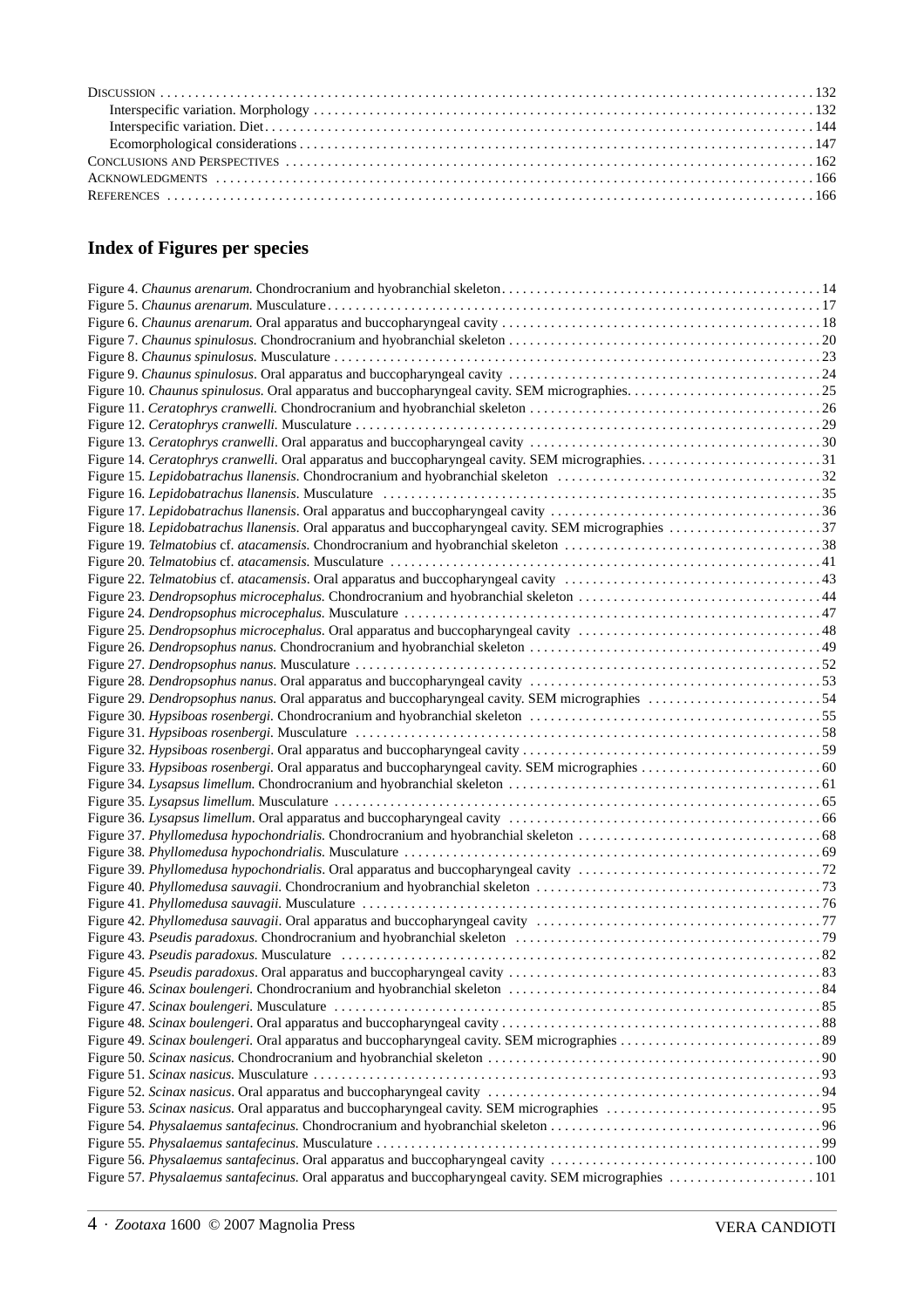# **Index of Figures per species**

| Figure 18. Lepidobatrachus llanensis. Oral apparatus and buccopharyngeal cavity. SEM micrographies 37 |  |
|-------------------------------------------------------------------------------------------------------|--|
|                                                                                                       |  |
|                                                                                                       |  |
|                                                                                                       |  |
|                                                                                                       |  |
|                                                                                                       |  |
|                                                                                                       |  |
|                                                                                                       |  |
|                                                                                                       |  |
|                                                                                                       |  |
| Figure 29. Dendropsophus nanus. Oral apparatus and buccopharyngeal cavity. SEM micrographies 54       |  |
|                                                                                                       |  |
|                                                                                                       |  |
|                                                                                                       |  |
|                                                                                                       |  |
|                                                                                                       |  |
|                                                                                                       |  |
|                                                                                                       |  |
|                                                                                                       |  |
|                                                                                                       |  |
|                                                                                                       |  |
|                                                                                                       |  |
|                                                                                                       |  |
|                                                                                                       |  |
|                                                                                                       |  |
|                                                                                                       |  |
|                                                                                                       |  |
|                                                                                                       |  |
|                                                                                                       |  |
|                                                                                                       |  |
|                                                                                                       |  |
|                                                                                                       |  |
|                                                                                                       |  |
|                                                                                                       |  |
|                                                                                                       |  |
|                                                                                                       |  |
|                                                                                                       |  |
|                                                                                                       |  |
|                                                                                                       |  |
| Figure 57. Physalaemus santafecinus. Oral apparatus and buccopharyngeal cavity. SEM micrographies 101 |  |